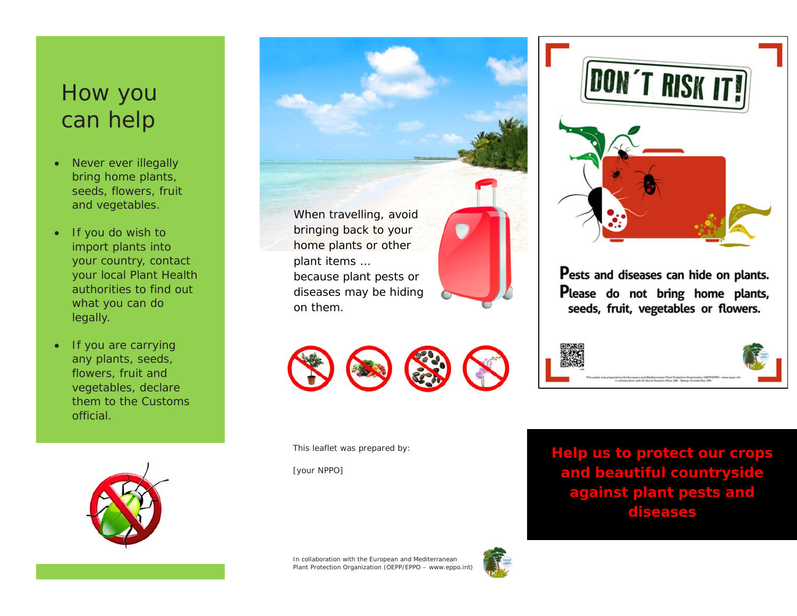# How you can help

- Never ever illegally bring home plants, seeds, flowers, fruit and vegetables.
- If you do wish to import plants into your country, contact your local Plant Health authorities to find out what you can do legally.
- If you are carrying any plants, seeds, flowers, fruit and vegetables, declare them to the Customs official.



When travelling, avoid bringing back to your home plants or other plant items … because plant pests or diseases may be hiding on them.

This leaflet was prepared by:

[your NPPO]



Pests and diseases can hide on plants. Please do not bring home plants, seeds, fruit, vegetables or flowers.



**Help us to protect our crops and beautiful countryside against plant pests and diseases**